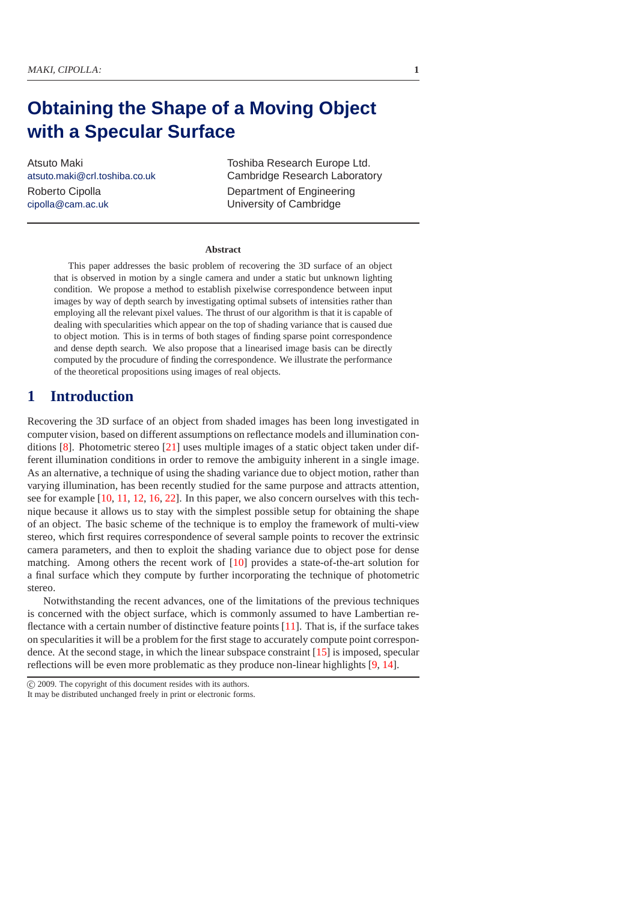# **Obtaining the Shape of a Moving Object with a Specular Surface**

Atsuto Maki atsuto.maki@crl.toshiba.co.uk Roberto Cipolla cipolla@cam.ac.uk

Toshiba Research Europe Ltd. Cambridge Research Laboratory Department of Engineering University of Cambridge

#### **Abstract**

This paper addresses the basic problem of recovering the 3D surface of an object that is observed in motion by a single camera and under a static but unknown lighting condition. We propose a method to establish pixelwise correspondence between input images by way of depth search by investigating optimal subsets of intensities rather than employing all the relevant pixel values. The thrust of our algorithm is that it is capable of dealing with specularities which appear on the top of shading variance that is caused due to object motion. This is in terms of both stages of finding sparse point correspondence and dense depth search. We also propose that a linearised image basis can be directly computed by the procudure of finding the correspondence. We illustrate the performance of the theoretical propositions using images of real objects.

# **1 Introduction**

Recovering the 3D surface of an object from shaded images has been long investigated in computer vision, based on different assumptions on reflectance models and illumination conditions [\[8\]](#page-9-0). Photometric stereo [\[21\]](#page-9-1) uses multiple images of a static object taken under different illumination conditions in order to remove the ambiguity inherent in a single image. As an alternative, a technique of using the shading variance due to object motion, rather than varying illumination, has been recently studied for the same purpose and attracts attention, see for example [\[10](#page-9-2), [11](#page-9-3), [12](#page-9-4), [16](#page-9-5), [22](#page-9-6)]. In this paper, we also concern ourselves with this technique because it allows us to stay with the simplest possible setup for obtaining the shape of an object. The basic scheme of the technique is to employ the framework of multi-view stereo, which first requires correspondence of several sample points to recover the extrinsic camera parameters, and then to exploit the shading variance due to object pose for dense matching. Among others the recent work of [\[10\]](#page-9-2) provides a state-of-the-art solution for a final surface which they compute by further incorporating the technique of photometric stereo.

Notwithstanding the recent advances, one of the limitations of the previous techniques is concerned with the object surface, which is commonly assumed to have Lambertian reflectance with a certain number of distinctive feature points [\[11](#page-9-3)]. That is, if the surface takes on specularities it will be a problem for the first stage to accurately compute point correspondence. At the second stage, in which the linear subspace constraint [\[15](#page-9-7)] is imposed, specular reflections will be even more problematic as they produce non-linear highlights [\[9](#page-9-8), [14](#page-9-9)].

c 2009. The copyright of this document resides with its authors. It may be distributed unchanged freely in print or electronic forms.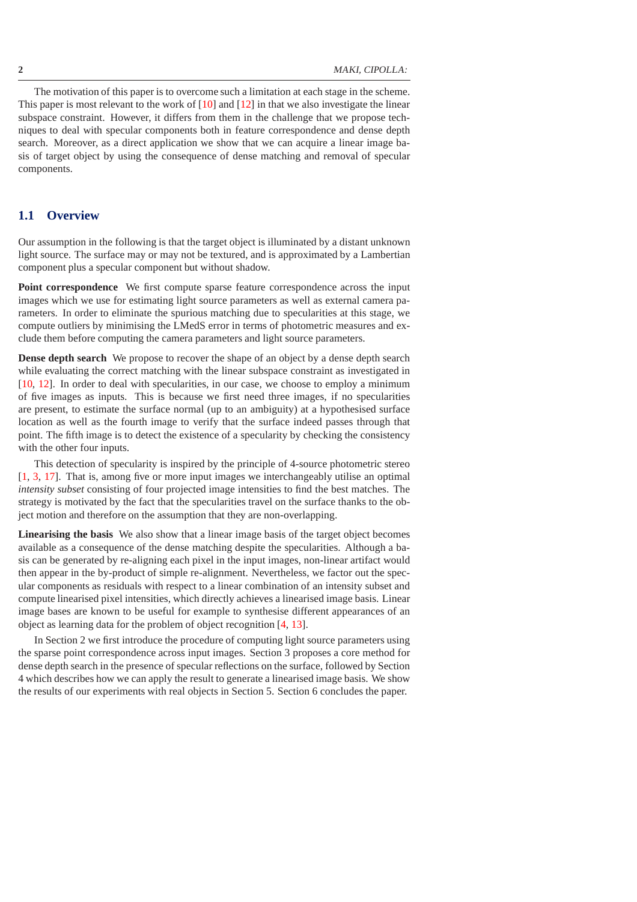The motivation of this paper is to overcome such a limitation at each stage in the scheme. This paper is most relevant to the work of  $[10]$  and  $[12]$  in that we also investigate the linear subspace constraint. However, it differs from them in the challenge that we propose techniques to deal with specular components both in feature correspondence and dense depth search. Moreover, as a direct application we show that we can acquire a linear image basis of target object by using the consequence of dense matching and removal of specular components.

### **1.1 Overview**

Our assumption in the following is that the target object is illuminated by a distant unknown light source. The surface may or may not be textured, and is approximated by a Lambertian component plus a specular component but without shadow.

**Point correspondence** We first compute sparse feature correspondence across the input images which we use for estimating light source parameters as well as external camera parameters. In order to eliminate the spurious matching due to specularities at this stage, we compute outliers by minimising the LMedS error in terms of photometric measures and exclude them before computing the camera parameters and light source parameters.

**Dense depth search** We propose to recover the shape of an object by a dense depth search while evaluating the correct matching with the linear subspace constraint as investigated in [\[10](#page-9-2), [12\]](#page-9-4). In order to deal with specularities, in our case, we choose to employ a minimum of five images as inputs. This is because we first need three images, if no specularities are present, to estimate the surface normal (up to an ambiguity) at a hypothesised surface location as well as the fourth image to verify that the surface indeed passes through that point. The fifth image is to detect the existence of a specularity by checking the consistency with the other four inputs.

This detection of specularity is inspired by the principle of 4-source photometric stereo [\[1](#page-9-10), [3,](#page-9-11) [17](#page-9-12)]. That is, among five or more input images we interchangeably utilise an optimal *intensity subset* consisting of four projected image intensities to find the best matches. The strategy is motivated by the fact that the specularities travel on the surface thanks to the object motion and therefore on the assumption that they are non-overlapping.

**Linearising the basis** We also show that a linear image basis of the target object becomes available as a consequence of the dense matching despite the specularities. Although a basis can be generated by re-aligning each pixel in the input images, non-linear artifact would then appear in the by-product of simple re-alignment. Nevertheless, we factor out the specular components as residuals with respect to a linear combination of an intensity subset and compute linearised pixel intensities, which directly achieves a linearised image basis. Linear image bases are known to be useful for example to synthesise different appearances of an object as learning data for the problem of object recognition [\[4](#page-9-13), [13](#page-9-14)].

In Section 2 we first introduce the procedure of computing light source parameters using the sparse point correspondence across input images. Section 3 proposes a core method for dense depth search in the presence of specular reflections on the surface, followed by Section 4 which describes how we can apply the result to generate a linearised image basis. We show the results of our experiments with real objects in Section 5. Section 6 concludes the paper.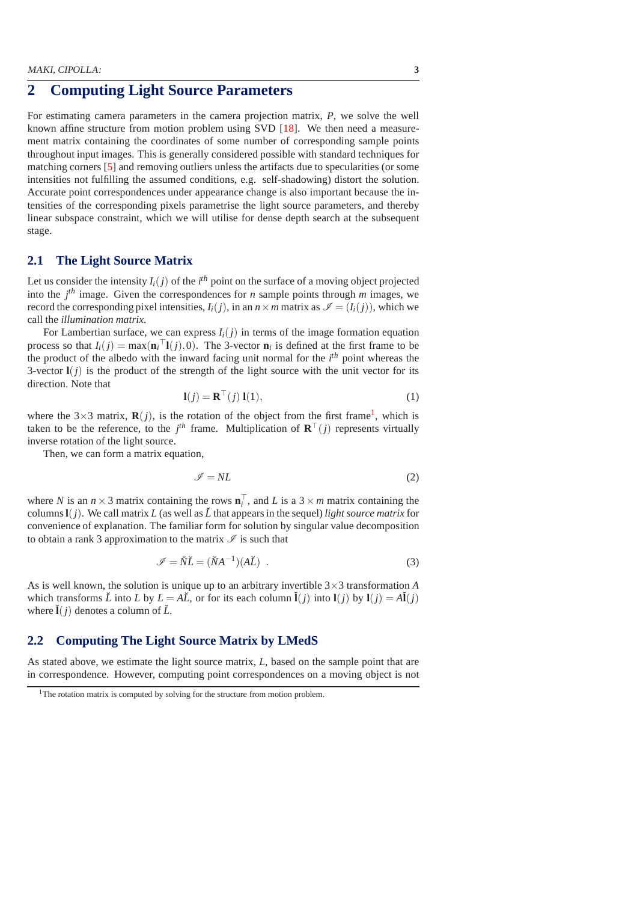# **2 Computing Light Source Parameters**

For estimating camera parameters in the camera projection matrix, *P*, we solve the well known affine structure from motion problem using SVD [\[18\]](#page-9-15). We then need a measurement matrix containing the coordinates of some number of corresponding sample points throughout input images. This is generally considered possible with standard techniques for matching corners [\[5](#page-9-16)] and removing outliers unless the artifacts due to specularities (or some intensities not fulfilling the assumed conditions, e.g. self-shadowing) distort the solution. Accurate point correspondences under appearance change is also important because the intensities of the corresponding pixels parametrise the light source parameters, and thereby linear subspace constraint, which we will utilise for dense depth search at the subsequent stage.

### **2.1 The Light Source Matrix**

Let us consider the intensity  $I_i(j)$  of the  $i^{th}$  point on the surface of a moving object projected into the  $j<sup>th</sup>$  image. Given the correspondences for *n* sample points through *m* images, we record the corresponding pixel intensities,  $I_i(j)$ , in an  $n \times m$  matrix as  $\mathcal{I} = (I_i(j))$ , which we call the *illumination matrix*.

For Lambertian surface, we can express  $I_i(j)$  in terms of the image formation equation process so that  $I_i(j) = \max(\mathbf{n}_i^\top \mathbf{l}(j), 0)$ . The 3-vector  $\mathbf{n}_i$  is defined at the first frame to be the product of the albedo with the inward facing unit normal for the *i th* point whereas the 3-vector  $I(j)$  is the product of the strength of the light source with the unit vector for its direction. Note that

$$
\mathbf{l}(j) = \mathbf{R}^{\top}(j) \mathbf{l}(1),\tag{1}
$$

where the  $3\times 3$  matrix,  $\mathbf{R}(j)$ , is the rotation of the object from the first frame<sup>[1](#page-2-0)</sup>, which is taken to be the reference, to the  $j<sup>th</sup>$  frame. Multiplication of  $\mathbf{R}^{\top}(j)$  represents virtually inverse rotation of the light source.

Then, we can form a matrix equation,

$$
\mathscr{I} = NL \tag{2}
$$

where *N* is an  $n \times 3$  matrix containing the rows  $\mathbf{n}_i^{\top}$ , and *L* is a  $3 \times m$  matrix containing the columns  $I(j)$ . We call matrix *L* (as well as  $\check{L}$  that appears in the sequel) *light source matrix* for convenience of explanation. The familiar form for solution by singular value decomposition to obtain a rank 3 approximation to the matrix  $\mathscr I$  is such that

$$
\mathscr{I} = \breve{N}\breve{L} = (\breve{N}A^{-1})(A\breve{L}) \tag{3}
$$

<span id="page-2-1"></span>As is well known, the solution is unique up to an arbitrary invertible  $3 \times 3$  transformation *A* which transforms  $\check{L}$  into  $L$  by  $L = A\check{L}$ , or for its each column  $\check{I}(i)$  into  $I(i)$  by  $I(i) = A\check{I}(i)$ where  $\mathbf{I}(i)$  denotes a column of  $\mathbf{L}$ .

### <span id="page-2-2"></span>**2.2 Computing The Light Source Matrix by LMedS**

As stated above, we estimate the light source matrix, *L*, based on the sample point that are in correspondence. However, computing point correspondences on a moving object is not

<span id="page-2-0"></span><sup>&</sup>lt;sup>1</sup>The rotation matrix is computed by solving for the structure from motion problem.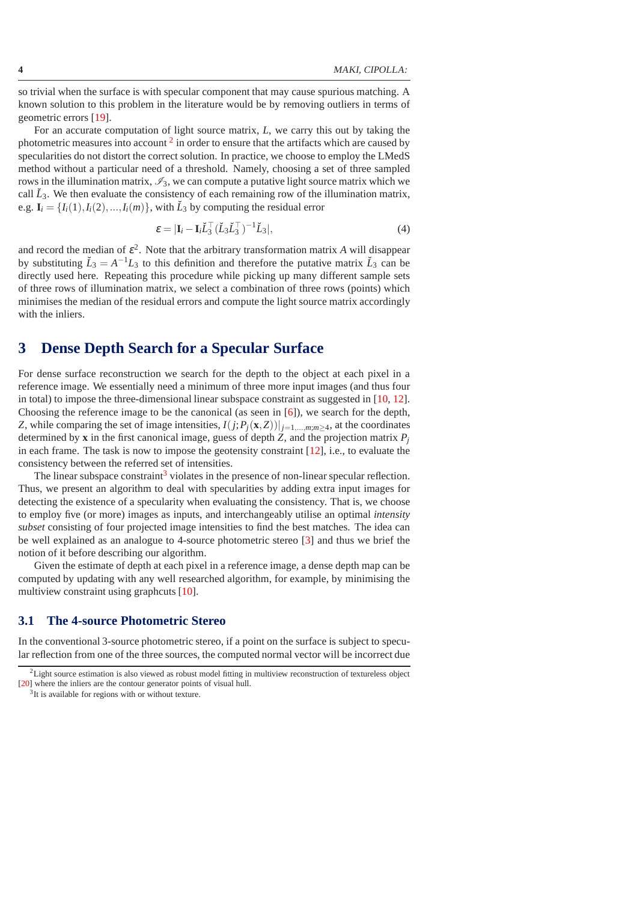so trivial when the surface is with specular component that may cause spurious matching. A known solution to this problem in the literature would be by removing outliers in terms of geometric errors [\[19\]](#page-9-17).

For an accurate computation of light source matrix, *L*, we carry this out by taking the photometric measures into account  $2$  in order to ensure that the artifacts which are caused by specularities do not distort the correct solution. In practice, we choose to employ the LMedS method without a particular need of a threshold. Namely, choosing a set of three sampled rows in the illumination matrix,  $\mathscr{I}_3$ , we can compute a putative light source matrix which we call  $\check{L}_3$ . We then evaluate the consistency of each remaining row of the illumination matrix, e.g.  $\mathbf{I}_i = \{I_i(1), I_i(2), ..., I_i(m)\}\$ , with  $\check{L}_3$  by computing the residual error

$$
\varepsilon = |\mathbf{I}_i - \mathbf{I}_i \breve{L}_3^\top (\breve{L}_3 \breve{L}_3^\top)^{-1} \breve{L}_3|,\tag{4}
$$

and record the median of  $\varepsilon^2$ . Note that the arbitrary transformation matrix *A* will disappear by substituting  $\check{L}_3 = A^{-1}L_3$  to this definition and therefore the putative matrix  $\check{L}_3$  can be directly used here. Repeating this procedure while picking up many different sample sets of three rows of illumination matrix, we select a combination of three rows (points) which minimises the median of the residual errors and compute the light source matrix accordingly with the inliers.

# **3 Dense Depth Search for a Specular Surface**

For dense surface reconstruction we search for the depth to the object at each pixel in a reference image. We essentially need a minimum of three more input images (and thus four in total) to impose the three-dimensional linear subspace constraint as suggested in [\[10](#page-9-2), [12](#page-9-4)]. Choosing the reference image to be the canonical (as seen in [\[6\]](#page-9-18)), we search for the depth, *Z*, while comparing the set of image intensities,  $I(j; P_i(\mathbf{x}, Z))|_{j=1,\dots,m; m \geq 4}$ , at the coordinates determined by **x** in the first canonical image, guess of depth *Z*, and the projection matrix  $P_i$ in each frame. The task is now to impose the geotensity constraint  $[12]$ , i.e., to evaluate the consistency between the referred set of intensities.

The linear subspace constraint<sup>[3](#page-3-1)</sup> violates in the presence of non-linear specular reflection. Thus, we present an algorithm to deal with specularities by adding extra input images for detecting the existence of a specularity when evaluating the consistency. That is, we choose to employ five (or more) images as inputs, and interchangeably utilise an optimal *intensity subset* consisting of four projected image intensities to find the best matches. The idea can be well explained as an analogue to 4-source photometric stereo [\[3](#page-9-11)] and thus we brief the notion of it before describing our algorithm.

Given the estimate of depth at each pixel in a reference image, a dense depth map can be computed by updating with any well researched algorithm, for example, by minimising the multiview constraint using graphcuts [\[10\]](#page-9-2).

#### **3.1 The 4-source Photometric Stereo**

In the conventional 3-source photometric stereo, if a point on the surface is subject to specular reflection from one of the three sources, the computed normal vector will be incorrect due

<span id="page-3-1"></span><span id="page-3-0"></span> ${}^{2}$ Light source estimation is also viewed as robust model fitting in multiview reconstruction of textureless object [\[20\]](#page-9-19) where the inliers are the contour generator points of visual hull.

<sup>&</sup>lt;sup>3</sup>It is available for regions with or without texture.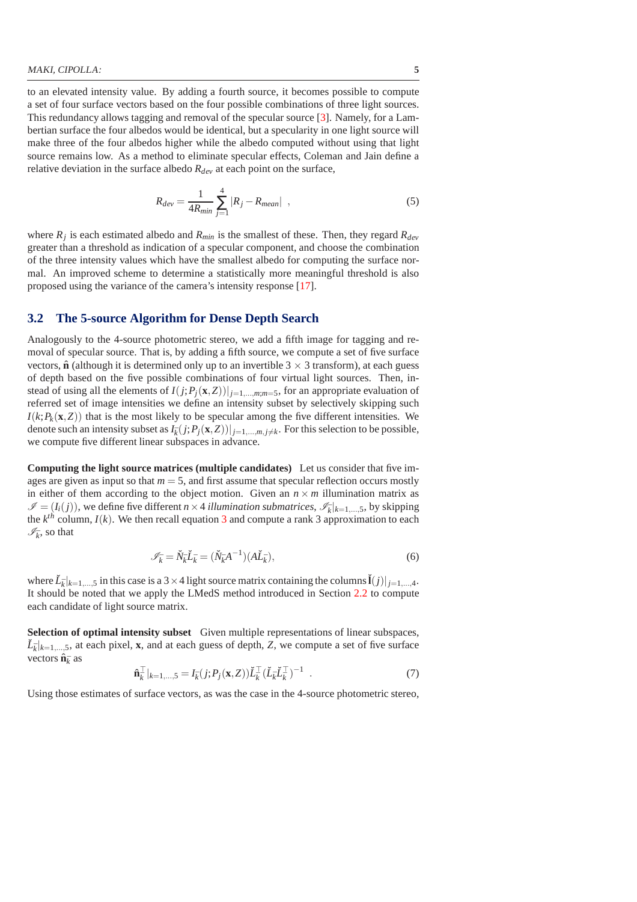to an elevated intensity value. By adding a fourth source, it becomes possible to compute a set of four surface vectors based on the four possible combinations of three light sources. This redundancy allows tagging and removal of the specular source [\[3](#page-9-11)]. Namely, for a Lambertian surface the four albedos would be identical, but a specularity in one light source will make three of the four albedos higher while the albedo computed without using that light source remains low. As a method to eliminate specular effects, Coleman and Jain define a relative deviation in the surface albedo *Rdev* at each point on the surface,

$$
R_{dev} = \frac{1}{4R_{min}} \sum_{j=1}^{4} |R_j - R_{mean}| \quad , \tag{5}
$$

where  $R_j$  is each estimated albedo and  $R_{min}$  is the smallest of these. Then, they regard  $R_{dev}$ greater than a threshold as indication of a specular component, and choose the combination of the three intensity values which have the smallest albedo for computing the surface normal. An improved scheme to determine a statistically more meaningful threshold is also proposed using the variance of the camera's intensity response [\[17](#page-9-12)].

#### **3.2 The 5-source Algorithm for Dense Depth Search**

Analogously to the 4-source photometric stereo, we add a fifth image for tagging and removal of specular source. That is, by adding a fifth source, we compute a set of five surface vectors,  $\hat{\bf{n}}$  (although it is determined only up to an invertible 3  $\times$  3 transform), at each guess of depth based on the five possible combinations of four virtual light sources. Then, instead of using all the elements of  $I(j; P_j(x, Z))|_{j=1,\dots,m; m=5}$ , for an appropriate evaluation of referred set of image intensities we define an intensity subset by selectively skipping such  $I(k; P_k(\mathbf{x}, Z))$  that is the most likely to be specular among the five different intensities. We denote such an intensity subset as  $I_{\bar{k}}(j;P_j(\mathbf{x},Z))|_{j=1,\dots,m, j\neq k}$ . For this selection to be possible, we compute five different linear subspaces in advance.

**Computing the light source matrices (multiple candidates)** Let us consider that five images are given as input so that  $m = 5$ , and first assume that specular reflection occurs mostly in either of them according to the object motion. Given an  $n \times m$  illumination matrix as  $\mathscr{I} = (I_i(j))$ , we define five different *n* × 4 *illumination submatrices*,  $\mathscr{I}_{\bar{k}}|_{k=1,\dots,5}$ , by skipping the  $k^{th}$  column,  $I(k)$ . We then recall equation [3](#page-2-1) and compute a rank 3 approximation to each  $\mathscr{I}_{\bar{k}}$ , so that

$$
\mathscr{I}_{\bar{k}} = \breve{N}_{\bar{k}} \breve{L}_{\bar{k}} = (\breve{N}_{\bar{k}} A^{-1}) (A \breve{L}_{\bar{k}}), \tag{6}
$$

where  $\tilde{L}_{\bar{k}}|_{k=1,\dots,5}$  in this case is a 3 × 4 light source matrix containing the columns  $\tilde{\mathbf{I}}(j)|_{j=1,\dots,4}$ . It should be noted that we apply the LMedS method introduced in Section [2.2](#page-2-2) to compute each candidate of light source matrix.

<span id="page-4-0"></span>**Selection of optimal intensity subset** Given multiple representations of linear subspaces,  $\tilde{L}_{\bar{k}}|_{k=1,\dots,5}$ , at each pixel, **x**, and at each guess of depth, *Z*, we compute a set of five surface vectors  $\hat{\mathbf{n}}_{\bar{k}}$  as

$$
\hat{\mathbf{n}}_{\bar{k}}^{\top}|_{k=1,...,5} = I_{\bar{k}}(j;P_j(\mathbf{x},Z))\check{L}_{\bar{k}}^{\top}(\check{L}_{\bar{k}}\check{L}_{\bar{k}}^{\top})^{-1} . \tag{7}
$$

Using those estimates of surface vectors, as was the case in the 4-source photometric stereo,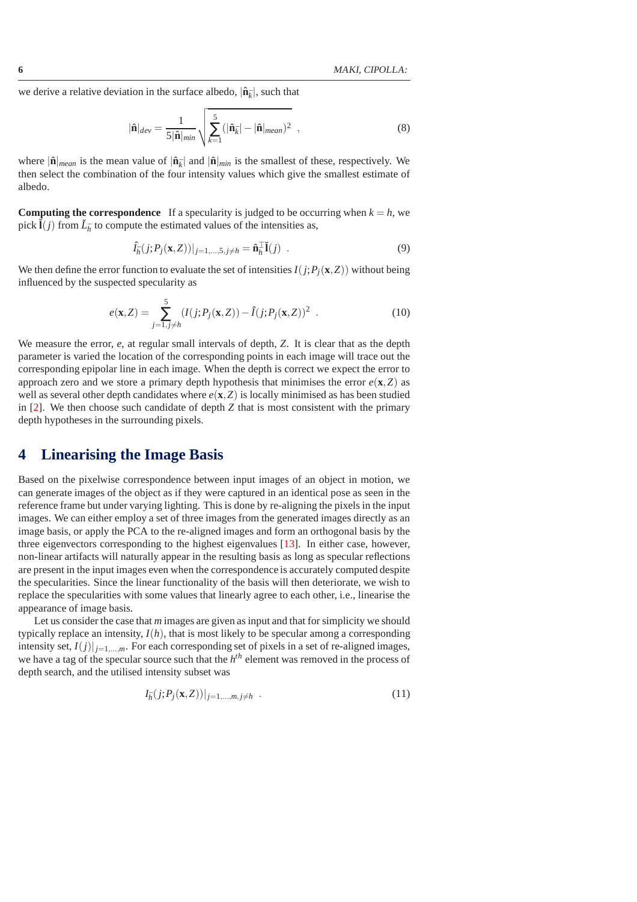we derive a relative deviation in the surface albedo,  $|\hat{\mathbf{n}}_{\bar{k}}|$ , such that

$$
|\hat{\mathbf{n}}|_{dev} = \frac{1}{5|\hat{\mathbf{n}}|_{min}} \sqrt{\sum_{k=1}^{5} (|\hat{\mathbf{n}}_{\bar{k}}| - |\hat{\mathbf{n}}|_{mean})^2}, \qquad (8)
$$

where  $|\hat{\mathbf{n}}|_{mean}$  is the mean value of  $|\hat{\mathbf{n}}_{\bar{k}}|$  and  $|\hat{\mathbf{n}}|_{min}$  is the smallest of these, respectively. We then select the combination of the four intensity values which give the smallest estimate of albedo.

**Computing the correspondence** If a specularity is judged to be occurring when  $k = h$ , we pick  $\tilde{\mathbf{I}}(j)$  from  $\tilde{L}_{\tilde{h}}$  to compute the estimated values of the intensities as,

$$
\hat{I}_{\bar{h}}(j;P_j(\mathbf{x},Z))|_{j=1,\ldots,5,j\neq h} = \hat{\mathbf{n}}_{\bar{h}}^{\top} \check{\mathbf{I}}(j) .
$$
\n(9)

We then define the error function to evaluate the set of intensities  $I(j; P<sub>j</sub>(\mathbf{x}, Z))$  without being influenced by the suspected specularity as

<span id="page-5-0"></span>
$$
e(\mathbf{x}, Z) = \sum_{j=1, j \neq h}^{5} (I(j; P_j(\mathbf{x}, Z)) - \hat{I}(j; P_j(\mathbf{x}, Z))^2
$$
 (10)

We measure the error, *e*, at regular small intervals of depth, *Z*. It is clear that as the depth parameter is varied the location of the corresponding points in each image will trace out the corresponding epipolar line in each image. When the depth is correct we expect the error to approach zero and we store a primary depth hypothesis that minimises the error  $e(\mathbf{x}, Z)$  as well as several other depth candidates where *e*(**x**,*Z*) is locally minimised as has been studied in [\[2](#page-9-20)]. We then choose such candidate of depth *Z* that is most consistent with the primary depth hypotheses in the surrounding pixels.

# **4 Linearising the Image Basis**

Based on the pixelwise correspondence between input images of an object in motion, we can generate images of the object as if they were captured in an identical pose as seen in the reference frame but under varying lighting. This is done by re-aligning the pixels in the input images. We can either employ a set of three images from the generated images directly as an image basis, or apply the PCA to the re-aligned images and form an orthogonal basis by the three eigenvectors corresponding to the highest eigenvalues [\[13](#page-9-14)]. In either case, however, non-linear artifacts will naturally appear in the resulting basis as long as specular reflections are present in the input images even when the correspondence is accurately computed despite the specularities. Since the linear functionality of the basis will then deteriorate, we wish to replace the specularities with some values that linearly agree to each other, i.e., linearise the appearance of image basis.

Let us consider the case that *m* images are given as input and that for simplicity we should typically replace an intensity,  $I(h)$ , that is most likely to be specular among a corresponding intensity set,  $I(j)|_{i=1,\dots,m}$ . For each corresponding set of pixels in a set of re-aligned images, we have a tag of the specular source such that the *h th* element was removed in the process of depth search, and the utilised intensity subset was

$$
I_{\bar{h}}(j;P_j(\mathbf{x},Z))|_{j=1,\ldots,m,j\neq h} \quad . \tag{11}
$$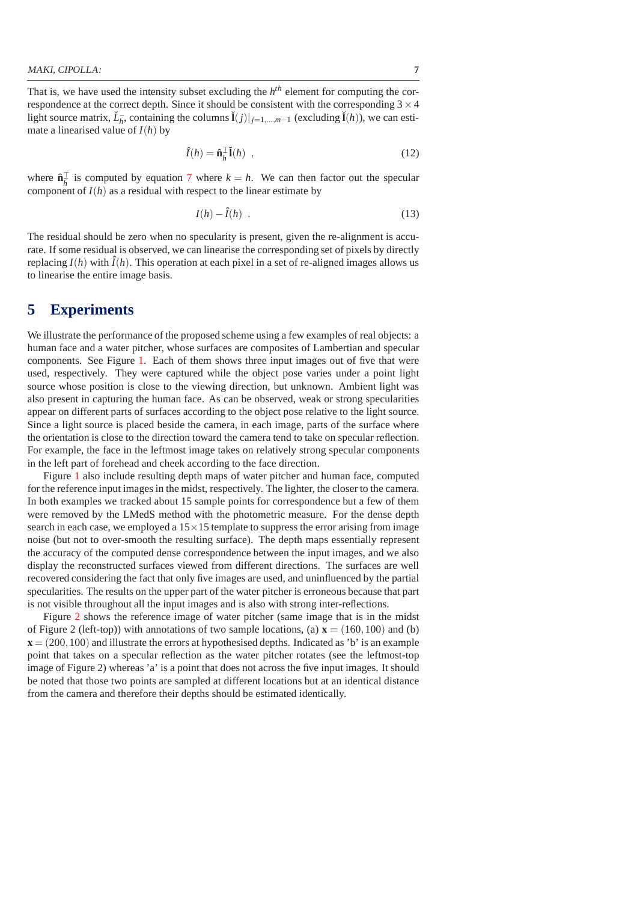That is, we have used the intensity subset excluding the *h th* element for computing the correspondence at the correct depth. Since it should be consistent with the corresponding  $3 \times 4$ light source matrix,  $\check{L}_{\bar{h}}$ , containing the columns  $\check{I}(j)|_{j=1,\dots,m-1}$  (excluding  $\check{I}(h)$ ), we can estimate a linearised value of *I*(*h*) by

$$
\hat{I}(h) = \hat{\mathbf{n}}_h^{\top} \check{I}(h) \tag{12}
$$

where  $\hat{\mathbf{n}}_{\bar{h}}^{\top}$  is computed by equation [7](#page-4-0) where  $k = h$ . We can then factor out the specular component of  $I(h)$  as a residual with respect to the linear estimate by

$$
I(h) - \hat{I}(h) \tag{13}
$$

The residual should be zero when no specularity is present, given the re-alignment is accurate. If some residual is observed, we can linearise the corresponding set of pixels by directly replacing  $I(h)$  with  $\hat{I}(h)$ . This operation at each pixel in a set of re-aligned images allows us to linearise the entire image basis.

# **5 Experiments**

We illustrate the performance of the proposed scheme using a few examples of real objects: a human face and a water pitcher, whose surfaces are composites of Lambertian and specular components. See Figure [1.](#page-7-0) Each of them shows three input images out of five that were used, respectively. They were captured while the object pose varies under a point light source whose position is close to the viewing direction, but unknown. Ambient light was also present in capturing the human face. As can be observed, weak or strong specularities appear on different parts of surfaces according to the object pose relative to the light source. Since a light source is placed beside the camera, in each image, parts of the surface where the orientation is close to the direction toward the camera tend to take on specular reflection. For example, the face in the leftmost image takes on relatively strong specular components in the left part of forehead and cheek according to the face direction.

Figure [1](#page-7-0) also include resulting depth maps of water pitcher and human face, computed for the reference input images in the midst, respectively. The lighter, the closer to the camera. In both examples we tracked about 15 sample points for correspondence but a few of them were removed by the LMedS method with the photometric measure. For the dense depth search in each case, we employed a  $15 \times 15$  template to suppress the error arising from image noise (but not to over-smooth the resulting surface). The depth maps essentially represent the accuracy of the computed dense correspondence between the input images, and we also display the reconstructed surfaces viewed from different directions. The surfaces are well recovered considering the fact that only five images are used, and uninfluenced by the partial specularities. The results on the upper part of the water pitcher is erroneous because that part is not visible throughout all the input images and is also with strong inter-reflections.

Figure [2](#page-7-1) shows the reference image of water pitcher (same image that is in the midst of Figure 2 (left-top)) with annotations of two sample locations, (a)  $\mathbf{x} = (160, 100)$  and (b)  $\mathbf{x} = (200, 100)$  and illustrate the errors at hypothesised depths. Indicated as 'b' is an example point that takes on a specular reflection as the water pitcher rotates (see the leftmost-top image of Figure 2) whereas 'a' is a point that does not across the five input images. It should be noted that those two points are sampled at different locations but at an identical distance from the camera and therefore their depths should be estimated identically.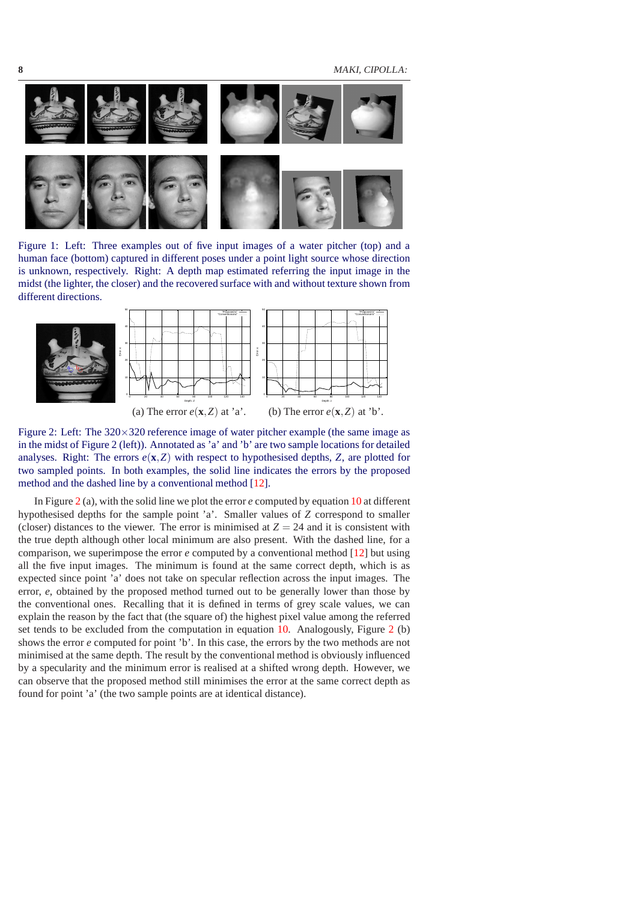**8** MAKI, CIPOLLA:



Figure 1: Left: Three examples out of five input images of a water pitcher (top) and a human face (bottom) captured in different poses under a point light source whose direction is unknown, respectively. Right: A depth map estimated referring the input image in the midst (the lighter, the closer) and the recovered surface with and without texture shown from different directions.

<span id="page-7-0"></span>

<span id="page-7-1"></span>Figure 2: Left: The  $320 \times 320$  reference image of water pitcher example (the same image as in the midst of Figure 2 (left)). Annotated as 'a' and 'b' are two sample locations for detailed analyses. Right: The errors  $e(\mathbf{x}, Z)$  with respect to hypothesised depths,  $Z$ , are plotted for two sampled points. In both examples, the solid line indicates the errors by the proposed method and the dashed line by a conventional method [\[12\]](#page-9-4).

In Figure [2](#page-7-1) (a), with the solid line we plot the error *e* computed by equation [10](#page-5-0) at different hypothesised depths for the sample point 'a'. Smaller values of *Z* correspond to smaller (closer) distances to the viewer. The error is minimised at  $Z = 24$  and it is consistent with the true depth although other local minimum are also present. With the dashed line, for a comparison, we superimpose the error *e* computed by a conventional method [\[12](#page-9-4)] but using all the five input images. The minimum is found at the same correct depth, which is as expected since point 'a' does not take on specular reflection across the input images. The error, *e*, obtained by the proposed method turned out to be generally lower than those by the conventional ones. Recalling that it is defined in terms of grey scale values, we can explain the reason by the fact that (the square of) the highest pixel value among the referred set tends to be excluded from the computation in equation [10.](#page-5-0) Analogously, Figure [2](#page-7-1) (b) shows the error *e* computed for point 'b'. In this case, the errors by the two methods are not minimised at the same depth. The result by the conventional method is obviously influenced by a specularity and the minimum error is realised at a shifted wrong depth. However, we can observe that the proposed method still minimises the error at the same correct depth as found for point 'a' (the two sample points are at identical distance).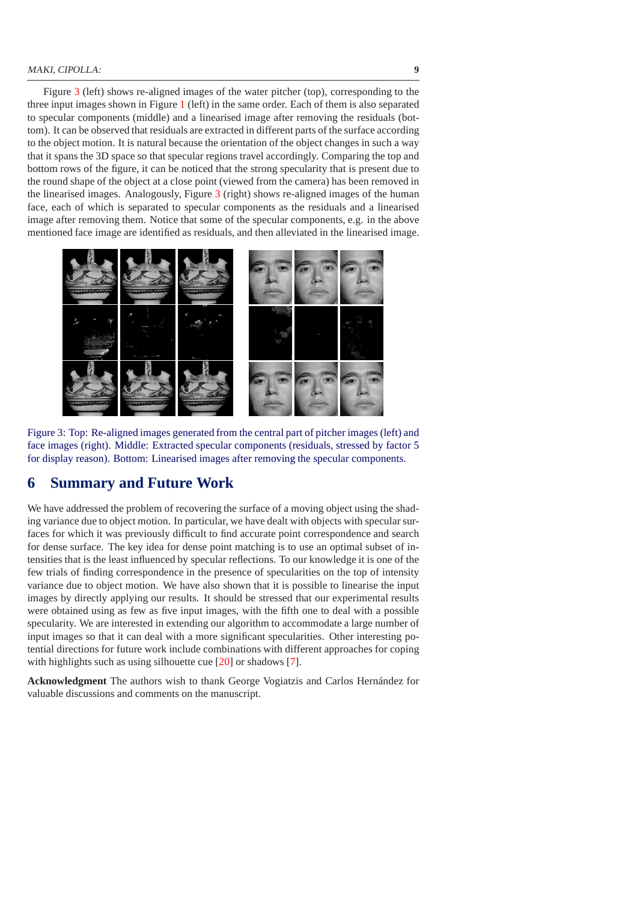Figure [3](#page-8-0) (left) shows re-aligned images of the water pitcher (top), corresponding to the three input images shown in Figure [1](#page-7-0) (left) in the same order. Each of them is also separated to specular components (middle) and a linearised image after removing the residuals (bottom). It can be observed that residuals are extracted in different parts of the surface according to the object motion. It is natural because the orientation of the object changes in such a way that it spans the 3D space so that specular regions travel accordingly. Comparing the top and bottom rows of the figure, it can be noticed that the strong specularity that is present due to the round shape of the object at a close point (viewed from the camera) has been removed in the linearised images. Analogously, Figure [3](#page-8-0) (right) shows re-aligned images of the human face, each of which is separated to specular components as the residuals and a linearised image after removing them. Notice that some of the specular components, e.g. in the above mentioned face image are identified as residuals, and then alleviated in the linearised image.



<span id="page-8-0"></span>Figure 3: Top: Re-aligned images generated from the central part of pitcher images (left) and face images (right). Middle: Extracted specular components (residuals, stressed by factor 5 for display reason). Bottom: Linearised images after removing the specular components.

# **6 Summary and Future Work**

We have addressed the problem of recovering the surface of a moving object using the shading variance due to object motion. In particular, we have dealt with objects with specular surfaces for which it was previously difficult to find accurate point correspondence and search for dense surface. The key idea for dense point matching is to use an optimal subset of intensities that is the least influenced by specular reflections. To our knowledge it is one of the few trials of finding correspondence in the presence of specularities on the top of intensity variance due to object motion. We have also shown that it is possible to linearise the input images by directly applying our results. It should be stressed that our experimental results were obtained using as few as five input images, with the fifth one to deal with a possible specularity. We are interested in extending our algorithm to accommodate a large number of input images so that it can deal with a more significant specularities. Other interesting potential directions for future work include combinations with different approaches for coping with highlights such as using silhouette cue [\[20\]](#page-9-19) or shadows [\[7](#page-9-21)].

**Acknowledgment** The authors wish to thank George Vogiatzis and Carlos Hernández for valuable discussions and comments on the manuscript.